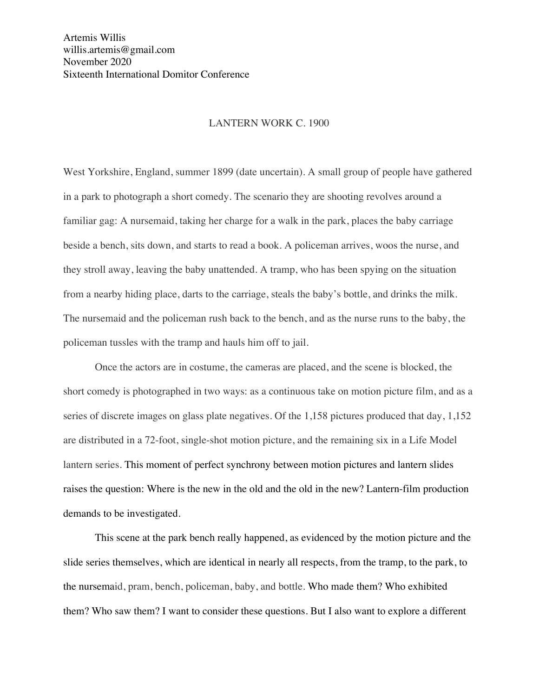## LANTERN WORK C. 1900

West Yorkshire, England, summer 1899 (date uncertain). A small group of people have gathered in a park to photograph a short comedy. The scenario they are shooting revolves around a familiar gag: A nursemaid, taking her charge for a walk in the park, places the baby carriage beside a bench, sits down, and starts to read a book. A policeman arrives, woos the nurse, and they stroll away, leaving the baby unattended. A tramp, who has been spying on the situation from a nearby hiding place, darts to the carriage, steals the baby's bottle, and drinks the milk. The nursemaid and the policeman rush back to the bench, and as the nurse runs to the baby, the policeman tussles with the tramp and hauls him off to jail.

Once the actors are in costume, the cameras are placed, and the scene is blocked, the short comedy is photographed in two ways: as a continuous take on motion picture film, and as a series of discrete images on glass plate negatives. Of the 1,158 pictures produced that day, 1,152 are distributed in a 72-foot, single-shot motion picture, and the remaining six in a Life Model lantern series. This moment of perfect synchrony between motion pictures and lantern slides raises the question: Where is the new in the old and the old in the new? Lantern-film production demands to be investigated.

This scene at the park bench really happened, as evidenced by the motion picture and the slide series themselves, which are identical in nearly all respects, from the tramp, to the park, to the nursemaid, pram, bench, policeman, baby, and bottle. Who made them? Who exhibited them? Who saw them? I want to consider these questions. But I also want to explore a different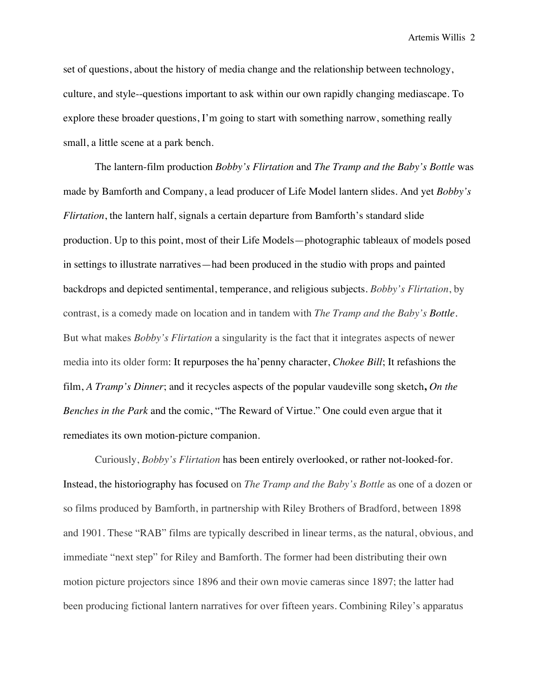set of questions, about the history of media change and the relationship between technology, culture, and style--questions important to ask within our own rapidly changing mediascape. To explore these broader questions, I'm going to start with something narrow, something really small, a little scene at a park bench.

The lantern-film production *Bobby's Flirtation* and *The Tramp and the Baby's Bottle* was made by Bamforth and Company, a lead producer of Life Model lantern slides. And yet *Bobby's Flirtation*, the lantern half, signals a certain departure from Bamforth's standard slide production. Up to this point, most of their Life Models—photographic tableaux of models posed in settings to illustrate narratives—had been produced in the studio with props and painted backdrops and depicted sentimental, temperance, and religious subjects. *Bobby's Flirtation*, by contrast, is a comedy made on location and in tandem with *The Tramp and the Baby's Bottle*. But what makes *Bobby's Flirtation* a singularity is the fact that it integrates aspects of newer media into its older form: It repurposes the ha'penny character, *Chokee Bill*; It refashions the film, *A Tramp's Dinner*; and it recycles aspects of the popular vaudeville song sketch**,** *On the Benches in the Park* and the comic, "The Reward of Virtue." One could even argue that it remediates its own motion-picture companion.

Curiously, *Bobby's Flirtation* has been entirely overlooked, or rather not-looked-for. Instead, the historiography has focused on *The Tramp and the Baby's Bottle* as one of a dozen or so films produced by Bamforth, in partnership with Riley Brothers of Bradford, between 1898 and 1901. These "RAB" films are typically described in linear terms, as the natural, obvious, and immediate "next step" for Riley and Bamforth. The former had been distributing their own motion picture projectors since 1896 and their own movie cameras since 1897; the latter had been producing fictional lantern narratives for over fifteen years. Combining Riley's apparatus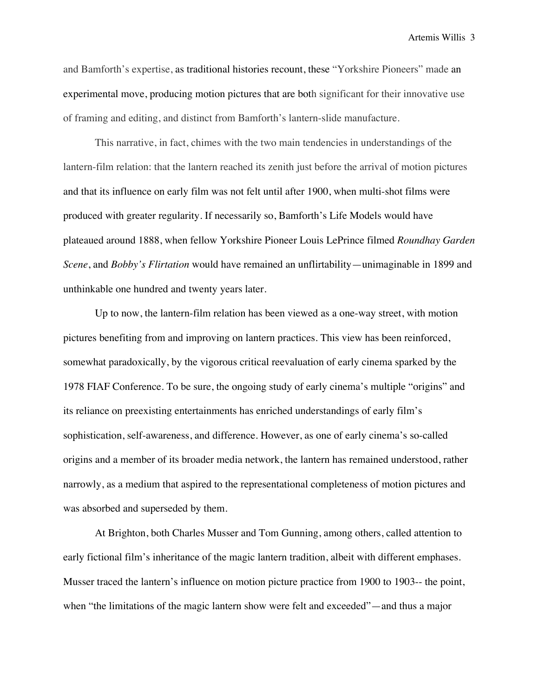and Bamforth's expertise, as traditional histories recount, these "Yorkshire Pioneers" made an experimental move, producing motion pictures that are both significant for their innovative use of framing and editing, and distinct from Bamforth's lantern-slide manufacture.

This narrative, in fact, chimes with the two main tendencies in understandings of the lantern-film relation: that the lantern reached its zenith just before the arrival of motion pictures and that its influence on early film was not felt until after 1900, when multi-shot films were produced with greater regularity. If necessarily so, Bamforth's Life Models would have plateaued around 1888, when fellow Yorkshire Pioneer Louis LePrince filmed *Roundhay Garden Scene*, and *Bobby's Flirtation* would have remained an unflirtability—unimaginable in 1899 and unthinkable one hundred and twenty years later.

Up to now, the lantern-film relation has been viewed as a one-way street, with motion pictures benefiting from and improving on lantern practices. This view has been reinforced, somewhat paradoxically, by the vigorous critical reevaluation of early cinema sparked by the 1978 FIAF Conference. To be sure, the ongoing study of early cinema's multiple "origins" and its reliance on preexisting entertainments has enriched understandings of early film's sophistication, self-awareness, and difference. However, as one of early cinema's so-called origins and a member of its broader media network, the lantern has remained understood, rather narrowly, as a medium that aspired to the representational completeness of motion pictures and was absorbed and superseded by them.

At Brighton, both Charles Musser and Tom Gunning, among others, called attention to early fictional film's inheritance of the magic lantern tradition, albeit with different emphases. Musser traced the lantern's influence on motion picture practice from 1900 to 1903-- the point, when "the limitations of the magic lantern show were felt and exceeded"—and thus a major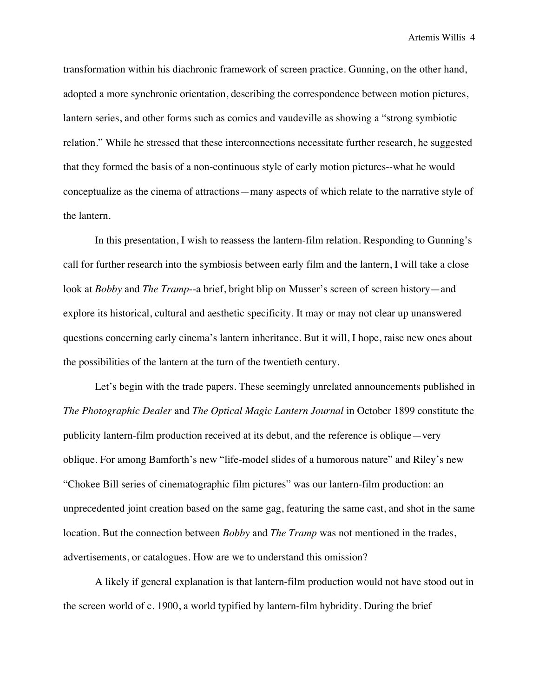transformation within his diachronic framework of screen practice. Gunning, on the other hand, adopted a more synchronic orientation, describing the correspondence between motion pictures, lantern series, and other forms such as comics and vaudeville as showing a "strong symbiotic relation." While he stressed that these interconnections necessitate further research, he suggested that they formed the basis of a non-continuous style of early motion pictures--what he would conceptualize as the cinema of attractions—many aspects of which relate to the narrative style of the lantern.

In this presentation, I wish to reassess the lantern-film relation. Responding to Gunning's call for further research into the symbiosis between early film and the lantern, I will take a close look at *Bobby* and *The Tramp*--a brief, bright blip on Musser's screen of screen history—and explore its historical, cultural and aesthetic specificity. It may or may not clear up unanswered questions concerning early cinema's lantern inheritance. But it will, I hope, raise new ones about the possibilities of the lantern at the turn of the twentieth century.

Let's begin with the trade papers. These seemingly unrelated announcements published in *The Photographic Dealer* and *The Optical Magic Lantern Journal* in October 1899 constitute the publicity lantern-film production received at its debut, and the reference is oblique—very oblique. For among Bamforth's new "life-model slides of a humorous nature" and Riley's new "Chokee Bill series of cinematographic film pictures" was our lantern-film production: an unprecedented joint creation based on the same gag, featuring the same cast, and shot in the same location. But the connection between *Bobby* and *The Tramp* was not mentioned in the trades, advertisements, or catalogues. How are we to understand this omission?

A likely if general explanation is that lantern-film production would not have stood out in the screen world of c. 1900, a world typified by lantern-film hybridity. During the brief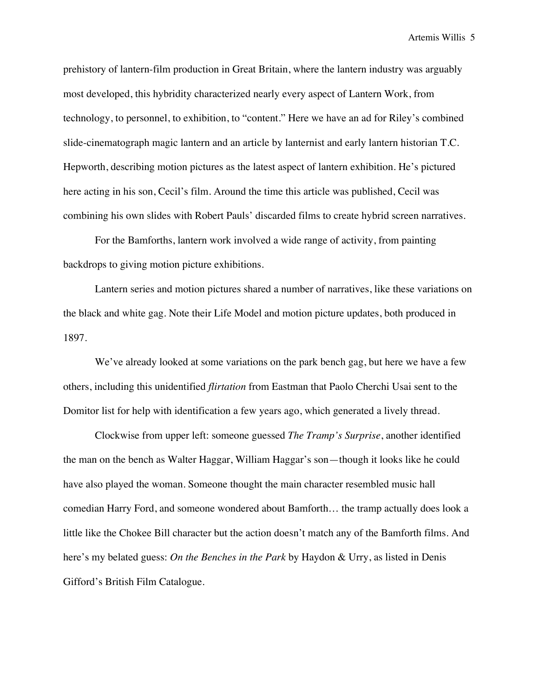prehistory of lantern-film production in Great Britain, where the lantern industry was arguably most developed, this hybridity characterized nearly every aspect of Lantern Work, from technology, to personnel, to exhibition, to "content." Here we have an ad for Riley's combined slide-cinematograph magic lantern and an article by lanternist and early lantern historian T.C. Hepworth, describing motion pictures as the latest aspect of lantern exhibition. He's pictured here acting in his son, Cecil's film. Around the time this article was published, Cecil was combining his own slides with Robert Pauls' discarded films to create hybrid screen narratives.

For the Bamforths, lantern work involved a wide range of activity, from painting backdrops to giving motion picture exhibitions.

Lantern series and motion pictures shared a number of narratives, like these variations on the black and white gag. Note their Life Model and motion picture updates, both produced in 1897.

We've already looked at some variations on the park bench gag, but here we have a few others, including this unidentified *flirtation* from Eastman that Paolo Cherchi Usai sent to the Domitor list for help with identification a few years ago, which generated a lively thread.

Clockwise from upper left: someone guessed *The Tramp's Surprise*, another identified the man on the bench as Walter Haggar, William Haggar's son—though it looks like he could have also played the woman. Someone thought the main character resembled music hall comedian Harry Ford, and someone wondered about Bamforth… the tramp actually does look a little like the Chokee Bill character but the action doesn't match any of the Bamforth films. And here's my belated guess: *On the Benches in the Park* by Haydon & Urry, as listed in Denis Gifford's British Film Catalogue.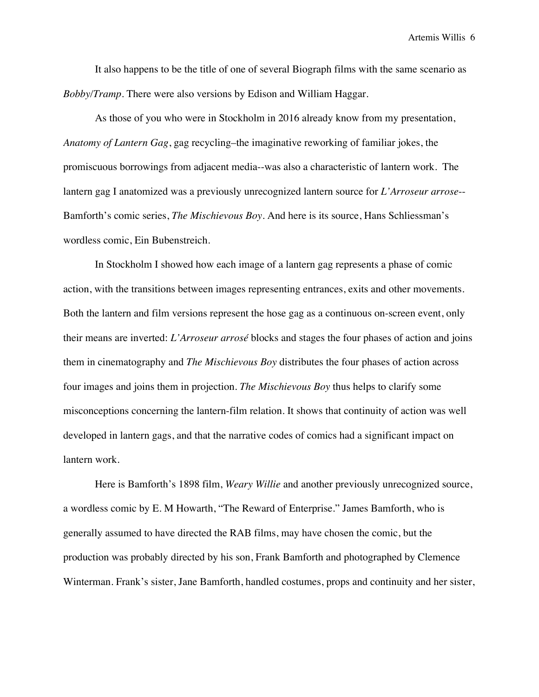It also happens to be the title of one of several Biograph films with the same scenario as *Bobby/Tramp*. There were also versions by Edison and William Haggar.

As those of you who were in Stockholm in 2016 already know from my presentation, *Anatomy of Lantern Gag*, gag recycling–the imaginative reworking of familiar jokes, the promiscuous borrowings from adjacent media--was also a characteristic of lantern work. The lantern gag I anatomized was a previously unrecognized lantern source for *L'Arroseur arrose*-- Bamforth's comic series, *The Mischievous Boy*. And here is its source, Hans Schliessman's wordless comic, Ein Bubenstreich.

In Stockholm I showed how each image of a lantern gag represents a phase of comic action, with the transitions between images representing entrances, exits and other movements. Both the lantern and film versions represent the hose gag as a continuous on-screen event, only their means are inverted: *L'Arroseur arrosé* blocks and stages the four phases of action and joins them in cinematography and *The Mischievous Boy* distributes the four phases of action across four images and joins them in projection. *The Mischievous Boy* thus helps to clarify some misconceptions concerning the lantern-film relation. It shows that continuity of action was well developed in lantern gags, and that the narrative codes of comics had a significant impact on lantern work.

Here is Bamforth's 1898 film, *Weary Willie* and another previously unrecognized source, a wordless comic by E. M Howarth, "The Reward of Enterprise." James Bamforth, who is generally assumed to have directed the RAB films, may have chosen the comic, but the production was probably directed by his son, Frank Bamforth and photographed by Clemence Winterman. Frank's sister, Jane Bamforth, handled costumes, props and continuity and her sister,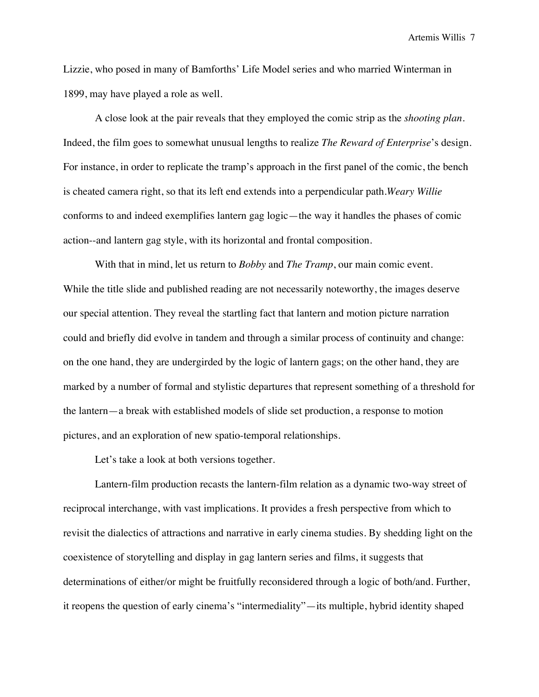Lizzie, who posed in many of Bamforths' Life Model series and who married Winterman in 1899, may have played a role as well.

A close look at the pair reveals that they employed the comic strip as the *shooting plan*. Indeed, the film goes to somewhat unusual lengths to realize *The Reward of Enterprise*'s design. For instance, in order to replicate the tramp's approach in the first panel of the comic, the bench is cheated camera right, so that its left end extends into a perpendicular path.*Weary Willie* conforms to and indeed exemplifies lantern gag logic—the way it handles the phases of comic action--and lantern gag style, with its horizontal and frontal composition.

With that in mind, let us return to *Bobby* and *The Tramp*, our main comic event. While the title slide and published reading are not necessarily noteworthy, the images deserve our special attention. They reveal the startling fact that lantern and motion picture narration could and briefly did evolve in tandem and through a similar process of continuity and change: on the one hand, they are undergirded by the logic of lantern gags; on the other hand, they are marked by a number of formal and stylistic departures that represent something of a threshold for the lantern—a break with established models of slide set production, a response to motion pictures, and an exploration of new spatio-temporal relationships.

Let's take a look at both versions together.

Lantern-film production recasts the lantern-film relation as a dynamic two-way street of reciprocal interchange, with vast implications. It provides a fresh perspective from which to revisit the dialectics of attractions and narrative in early cinema studies. By shedding light on the coexistence of storytelling and display in gag lantern series and films, it suggests that determinations of either/or might be fruitfully reconsidered through a logic of both/and. Further, it reopens the question of early cinema's "intermediality"—its multiple, hybrid identity shaped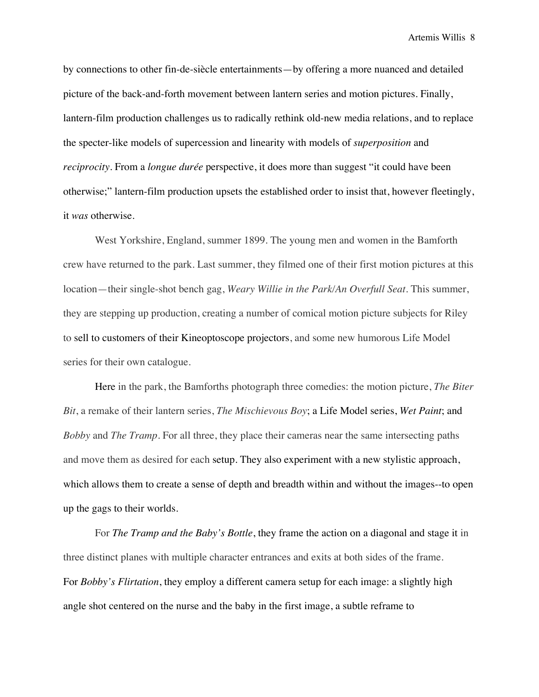by connections to other fin-de-siècle entertainments—by offering a more nuanced and detailed picture of the back-and-forth movement between lantern series and motion pictures. Finally, lantern-film production challenges us to radically rethink old-new media relations, and to replace the specter-like models of supercession and linearity with models of *superposition* and *reciprocity*. From a *longue durée* perspective, it does more than suggest "it could have been otherwise;" lantern-film production upsets the established order to insist that, however fleetingly, it *was* otherwise.

West Yorkshire, England, summer 1899. The young men and women in the Bamforth crew have returned to the park. Last summer, they filmed one of their first motion pictures at this location—their single-shot bench gag, *Weary Willie in the Park/An Overfull Seat*. This summer, they are stepping up production, creating a number of comical motion picture subjects for Riley to sell to customers of their Kineoptoscope projectors, and some new humorous Life Model series for their own catalogue.

Here in the park, the Bamforths photograph three comedies: the motion picture, *The Biter Bit*, a remake of their lantern series, *The Mischievous Boy*; a Life Model series, *Wet Paint*; and *Bobby* and *The Tramp*. For all three, they place their cameras near the same intersecting paths and move them as desired for each setup. They also experiment with a new stylistic approach, which allows them to create a sense of depth and breadth within and without the images--to open up the gags to their worlds.

For *The Tramp and the Baby's Bottle*, they frame the action on a diagonal and stage it in three distinct planes with multiple character entrances and exits at both sides of the frame. For *Bobby's Flirtation*, they employ a different camera setup for each image: a slightly high angle shot centered on the nurse and the baby in the first image, a subtle reframe to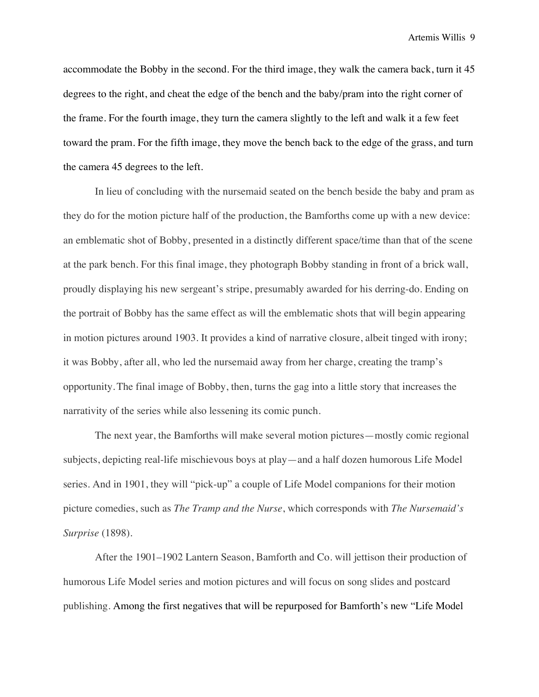accommodate the Bobby in the second. For the third image, they walk the camera back, turn it 45 degrees to the right, and cheat the edge of the bench and the baby/pram into the right corner of the frame. For the fourth image, they turn the camera slightly to the left and walk it a few feet toward the pram. For the fifth image, they move the bench back to the edge of the grass, and turn the camera 45 degrees to the left.

In lieu of concluding with the nursemaid seated on the bench beside the baby and pram as they do for the motion picture half of the production, the Bamforths come up with a new device: an emblematic shot of Bobby, presented in a distinctly different space/time than that of the scene at the park bench. For this final image, they photograph Bobby standing in front of a brick wall, proudly displaying his new sergeant's stripe, presumably awarded for his derring-do. Ending on the portrait of Bobby has the same effect as will the emblematic shots that will begin appearing in motion pictures around 1903. It provides a kind of narrative closure, albeit tinged with irony; it was Bobby, after all, who led the nursemaid away from her charge, creating the tramp's opportunity.The final image of Bobby, then, turns the gag into a little story that increases the narrativity of the series while also lessening its comic punch.

The next year, the Bamforths will make several motion pictures—mostly comic regional subjects, depicting real-life mischievous boys at play—and a half dozen humorous Life Model series. And in 1901, they will "pick-up" a couple of Life Model companions for their motion picture comedies, such as *The Tramp and the Nurse*, which corresponds with *The Nursemaid's Surprise* (1898).

After the 1901–1902 Lantern Season, Bamforth and Co. will jettison their production of humorous Life Model series and motion pictures and will focus on song slides and postcard publishing. Among the first negatives that will be repurposed for Bamforth's new "Life Model